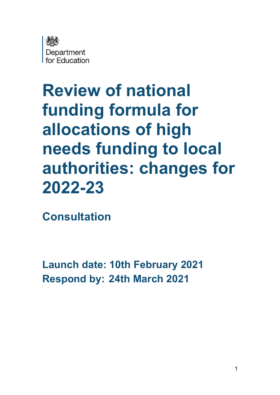

# **Review of national funding formula for allocations of high needs funding to local authorities: changes for 2022-23**

**Consultation** 

**Launch date: 10th February 2021 Respond by: 24th March 2021**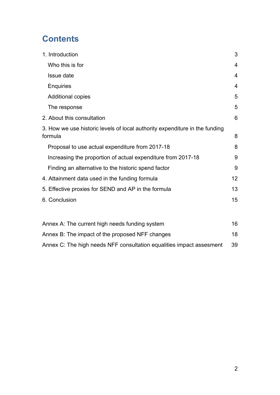# **Contents**

| 1. Introduction                                                                        | 3              |
|----------------------------------------------------------------------------------------|----------------|
| Who this is for                                                                        | 4              |
| Issue date                                                                             | $\overline{4}$ |
| <b>Enquiries</b>                                                                       | 4              |
| <b>Additional copies</b>                                                               | 5              |
| The response                                                                           | 5              |
| 2. About this consultation                                                             | 6              |
| 3. How we use historic levels of local authority expenditure in the funding<br>formula | 8              |
| Proposal to use actual expenditure from 2017-18                                        | 8              |
| Increasing the proportion of actual expenditure from 2017-18                           | 9              |
| Finding an alternative to the historic spend factor                                    | 9              |
| 4. Attainment data used in the funding formula                                         | 12             |
| 5. Effective proxies for SEND and AP in the formula                                    | 13             |
| 6. Conclusion                                                                          | 15             |
| Annex A: The current high needs funding system                                         | 16             |
| Annex B: The impact of the proposed NFF changes                                        | 18             |

[Annex C: The high needs NFF consultation equalities impact assesment](#page-38-0) 39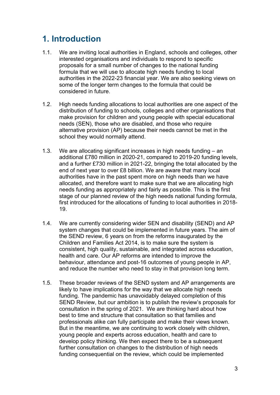# <span id="page-2-0"></span>**1. Introduction**

- 1.1. We are inviting local authorities in England, schools and colleges, other interested organisations and individuals to respond to specific proposals for a small number of changes to the national funding formula that we will use to allocate high needs funding to local authorities in the 2022-23 financial year. We are also seeking views on some of the longer term changes to the formula that could be considered in future.
- 1.2. High needs funding allocations to local authorities are one aspect of the distribution of funding to schools, colleges and other organisations that make provision for children and young people with special educational needs (SEN), those who are disabled, and those who require alternative provision (AP) because their needs cannot be met in the school they would normally attend.
- 1.3. We are allocating significant increases in high needs funding an additional £780 million in 2020-21, compared to 2019-20 funding levels, and a further £730 million in 2021-22, bringing the total allocated by the end of next year to over £8 billion. We are aware that many local authorities have in the past spent more on high needs than we have allocated, and therefore want to make sure that we are allocating high needs funding as appropriately and fairly as possible. This is the first stage of our planned review of the high needs national funding formula, first introduced for the allocations of funding to local authorities in 2018- 19.
- 1.4. We are currently considering wider SEN and disability (SEND) and AP system changes that could be implemented in future years. The aim of the SEND review, 6 years on from the reforms inaugurated by the Children and Families Act 2014, is to make sure the system is consistent, high quality, sustainable, and integrated across education, health and care. Our AP reforms are intended to improve the behaviour, attendance and post-16 outcomes of young people in AP, and reduce the number who need to stay in that provision long term.
- 1.5. These broader reviews of the SEND system and AP arrangements are likely to have implications for the way that we allocate high needs funding. The pandemic has unavoidably delayed completion of this SEND Review, but our ambition is to publish the review's proposals for consultation in the spring of 2021. We are thinking hard about how best to time and structure that consultation so that families and professionals alike can fully participate and make their views known. But in the meantime, we are continuing to work closely with children, young people and experts across education, health and care to develop policy thinking. We then expect there to be a subsequent further consultation on changes to the distribution of high needs funding consequential on the review, which could be implemented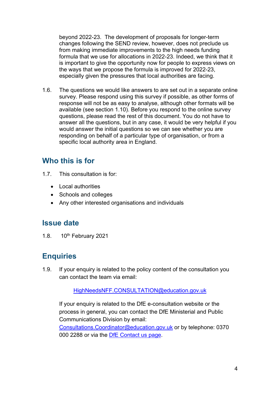beyond 2022-23. The development of proposals for longer-term changes following the SEND review, however, does not preclude us from making immediate improvements to the high needs funding formula that we use for allocations in 2022-23. Indeed, we think that it is important to give the opportunity now for people to express views on the ways that we propose the formula is improved for 2022-23, especially given the pressures that local authorities are facing.

1.6. The questions we would like answers to are set out in a separate online survey. Please respond using this survey if possible, as other forms of response will not be as easy to analyse, although other formats will be available (see section 1.10). Before you respond to the online survey questions, please read the rest of this document. You do not have to answer all the questions, but in any case, it would be very helpful if you would answer the initial questions so we can see whether you are responding on behalf of a particular type of organisation, or from a specific local authority area in England.

### <span id="page-3-0"></span>**Who this is for**

- 1.7. This consultation is for:
	- Local authorities
	- Schools and colleges
	- Any other interested organisations and individuals

#### <span id="page-3-1"></span>**Issue date**

1.8.  $10^{th}$  February 2021

### <span id="page-3-2"></span>**Enquiries**

1.9. If your enquiry is related to the policy content of the consultation you can contact the team via email:

#### HighNeedsNFF.CONSULTATION@education.gov.uk

If your enquiry is related to the DfE e-consultation website or the process in general, you can contact the DfE Ministerial and Public Communications Division by email:

<span id="page-3-3"></span>[Consultations.Coordinator@education.gov.uk](mailto:Coordinator.CONSULTATIONS@education.gov.uk) or by telephone: 0370 000 2288 or via the [DfE Contact us page.](https://form.education.gov.uk/service/Contact_the_Department_for_Education)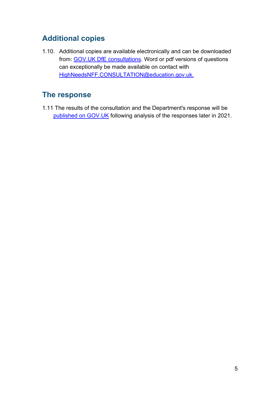### **Additional copies**

1.10. Additional copies are available electronically and can be downloaded from: [GOV.UK DfE consultations.](https://consult.education.gov.uk/) Word or pdf versions of questions can exceptionally be made available on contact with HighNeedsNFF.CONSULTATION@education.gov.uk.

### <span id="page-4-0"></span>**The response**

1.11 The results of the consultation and the Department's response will be [published on GOV.UK](https://www.gov.uk/government/publications?departments%5B%5D=department-for-education&publication_filter_option=consultations) following analysis of the responses later in 2021.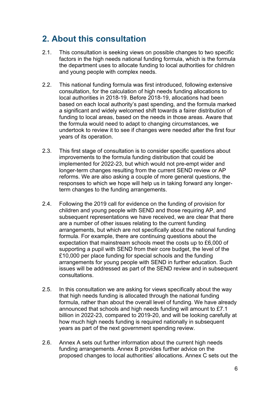# <span id="page-5-0"></span>**2. About this consultation**

- 2.1. This consultation is seeking views on possible changes to two specific factors in the high needs national funding formula, which is the formula the department uses to allocate funding to local authorities for children and young people with complex needs.
- 2.2. This national funding formula was first introduced, following extensive consultation, for the calculation of high needs funding allocations to local authorities in 2018-19. Before 2018-19, allocations had been based on each local authority's past spending, and the formula marked a significant and widely welcomed shift towards a fairer distribution of funding to local areas, based on the needs in those areas. Aware that the formula would need to adapt to changing circumstances, we undertook to review it to see if changes were needed after the first four years of its operation.
- 2.3. This first stage of consultation is to consider specific questions about improvements to the formula funding distribution that could be implemented for 2022-23, but which would not pre-empt wider and longer-term changes resulting from the current SEND review or AP reforms. We are also asking a couple of more general questions, the responses to which we hope will help us in taking forward any longerterm changes to the funding arrangements.
- 2.4. Following the 2019 call for evidence on the funding of provision for children and young people with SEND and those requiring AP, and subsequent representations we have received, we are clear that there are a number of other issues relating to the current funding arrangements, but which are not specifically about the national funding formula. For example, there are continuing questions about the expectation that mainstream schools meet the costs up to £6,000 of supporting a pupil with SEND from their core budget, the level of the £10,000 per place funding for special schools and the funding arrangements for young people with SEND in further education. Such issues will be addressed as part of the SEND review and in subsequent consultations.
- 2.5. In this consultation we are asking for views specifically about the way that high needs funding is allocated through the national funding formula, rather than about the overall level of funding. We have already announced that schools and high needs funding will amount to £7.1 billion in 2022-23, compared to 2019-20, and will be looking carefully at how much high needs funding is required nationally in subsequent years as part of the next government spending review.
- 2.6. Annex A sets out further information about the current high needs funding arrangements. Annex B provides further advice on the proposed changes to local authorities' allocations. Annex C sets out the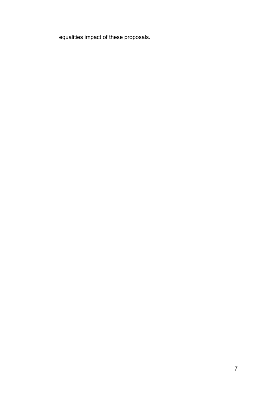equalities impact of these proposals.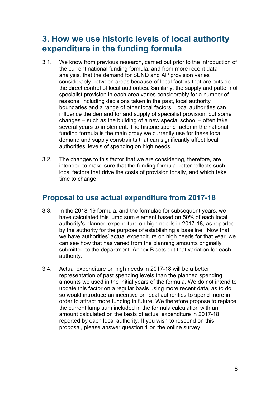# <span id="page-7-0"></span>**3. How we use historic levels of local authority expenditure in the funding formula**

- 3.1. We know from previous research, carried out prior to the introduction of the current national funding formula, and from more recent data analysis, that the demand for SEND and AP provision varies considerably between areas because of local factors that are outside the direct control of local authorities. Similarly, the supply and pattern of specialist provision in each area varies considerably for a number of reasons, including decisions taken in the past, local authority boundaries and a range of other local factors. Local authorities can influence the demand for and supply of specialist provision, but some changes – such as the building of a new special school – often take several years to implement. The historic spend factor in the national funding formula is the main proxy we currently use for these local demand and supply constraints that can significantly affect local authorities' levels of spending on high needs.
- 3.2. The changes to this factor that we are considering, therefore, are intended to make sure that the funding formula better reflects such local factors that drive the costs of provision locally, and which take time to change.

### <span id="page-7-1"></span>**Proposal to use actual expenditure from 2017-18**

- 3.3. In the 2018-19 formula, and the formulae for subsequent years, we have calculated this lump sum element based on 50% of each local authority's planned expenditure on high needs in 2017-18, as reported by the authority for the purpose of establishing a baseline. Now that we have authorities' actual expenditure on high needs for that year, we can see how that has varied from the planning amounts originally submitted to the department. Annex B sets out that variation for each authority.
- <span id="page-7-2"></span>3.4. Actual expenditure on high needs in 2017-18 will be a better representation of past spending levels than the planned spending amounts we used in the initial years of the formula. We do not intend to update this factor on a regular basis using more recent data, as to do so would introduce an incentive on local authorities to spend more in order to attract more funding in future. We therefore propose to replace the current lump sum included in the formula calculation with an amount calculated on the basis of actual expenditure in 2017-18 reported by each local authority. If you wish to respond on this proposal, please answer question 1 on the online survey.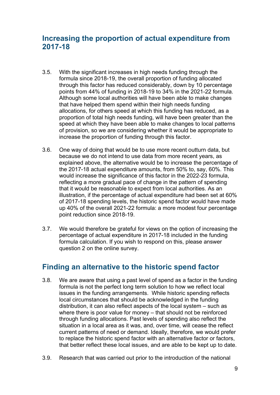### **Increasing the proportion of actual expenditure from 2017-18**

- 3.5. With the significant increases in high needs funding through the formula since 2018-19, the overall proportion of funding allocated through this factor has reduced considerably, down by 10 percentage points from 44% of funding in 2018-19 to 34% in the 2021-22 formula. Although some local authorities will have been able to make changes that have helped them spend within their high needs funding allocations, for others speed at which this funding has reduced, as a proportion of total high needs funding, will have been greater than the speed at which they have been able to make changes to local patterns of provision, so we are considering whether it would be appropriate to increase the proportion of funding through this factor.
- 3.6. One way of doing that would be to use more recent outturn data, but because we do not intend to use data from more recent years, as explained above, the alternative would be to increase the percentage of the 2017-18 actual expenditure amounts, from 50% to, say, 60%. This would increase the significance of this factor in the 2022-23 formula, reflecting a more gradual pace of change in the pattern of spending that it would be reasonable to expect from local authorities. As an illustration, if the percentage of actual expenditure had been set at 60% of 2017-18 spending levels, the historic spend factor would have made up 40% of the overall 2021-22 formula: a more modest four percentage point reduction since 2018-19.
- 3.7. We would therefore be grateful for views on the option of increasing the percentage of actual expenditure in 2017-18 included in the funding formula calculation. If you wish to respond on this, please answer question 2 on the online survey.

### <span id="page-8-0"></span>**Finding an alternative to the historic spend factor**

- 3.8. We are aware that using a past level of spend as a factor in the funding formula is not the perfect long term solution to how we reflect local issues in the funding arrangements. While historic spending reflects local circumstances that should be acknowledged in the funding distribution, it can also reflect aspects of the local system – such as where there is poor value for money – that should not be reinforced through funding allocations. Past levels of spending also reflect the situation in a local area as it was, and, over time, will cease the reflect current patterns of need or demand. Ideally, therefore, we would prefer to replace the historic spend factor with an alternative factor or factors, that better reflect these local issues, and are able to be kept up to date.
- 3.9. Research that was carried out prior to the introduction of the national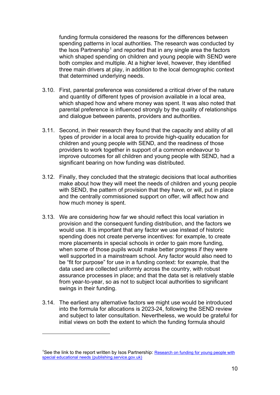funding formula considered the reasons for the differences between spending patterns in local authorities. The research was conducted by the Isos Partnership<sup>[1](#page-9-0)</sup> and reported that in any single area the factors which shaped spending on children and young people with SEND were both complex and multiple. At a higher level, however, they identified three main drivers at play, in addition to the local demographic context that determined underlying needs.

- 3.10. First, parental preference was considered a critical driver of the nature and quantity of different types of provision available in a local area, which shaped how and where money was spent. It was also noted that parental preference is influenced strongly by the quality of relationships and dialogue between parents, providers and authorities.
- 3.11. Second, in their research they found that the capacity and ability of all types of provider in a local area to provide high-quality education for children and young people with SEND, and the readiness of those providers to work together in support of a common endeavour to improve outcomes for all children and young people with SEND, had a significant bearing on how funding was distributed.
- 3.12. Finally, they concluded that the strategic decisions that local authorities make about how they will meet the needs of children and young people with SEND, the pattern of provision that they have, or will, put in place and the centrally commissioned support on offer, will affect how and how much money is spent.
- 3.13. We are considering how far we should reflect this local variation in provision and the consequent funding distribution, and the factors we would use. It is important that any factor we use instead of historic spending does not create perverse incentives: for example, to create more placements in special schools in order to gain more funding, when some of those pupils would make better progress if they were well supported in a mainstream school. Any factor would also need to be "fit for purpose" for use in a funding context: for example, that the data used are collected uniformly across the country, with robust assurance processes in place; and that the data set is relatively stable from year-to-year, so as not to subject local authorities to significant swings in their funding.
- 3.14. The earliest any alternative factors we might use would be introduced into the formula for allocations is 2023-24, following the SEND review and subject to later consultation. Nevertheless, we would be grateful for initial views on both the extent to which the funding formula should

<span id="page-9-0"></span><sup>&</sup>lt;sup>1</sup>See the link to the report written by Isos Partnership: Research on funding for young people with [special educational needs \(publishing.service.gov.uk\)](https://assets.publishing.service.gov.uk/government/uploads/system/uploads/attachment_data/file/445519/DFE-RR470_-_Funding_for_young_people_with_special_educational_needs.pdf)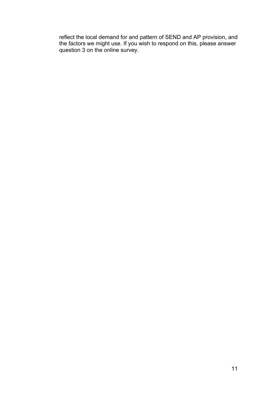reflect the local demand for and pattern of SEND and AP provision, and the factors we might use. If you wish to respond on this, please answer question 3 on the online survey.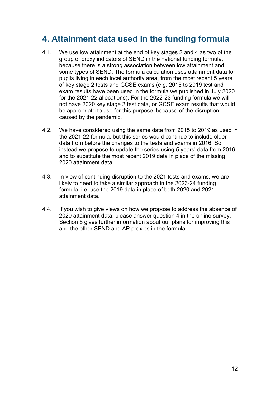## <span id="page-11-0"></span>**4. Attainment data used in the funding formula**

- 4.1. We use low attainment at the end of key stages 2 and 4 as two of the group of proxy indicators of SEND in the national funding formula, because there is a strong association between low attainment and some types of SEND. The formula calculation uses attainment data for pupils living in each local authority area, from the most recent 5 years of key stage 2 tests and GCSE exams (e.g. 2015 to 2019 test and exam results have been used in the formula we published in July 2020 for the 2021-22 allocations). For the 2022-23 funding formula we will not have 2020 key stage 2 test data, or GCSE exam results that would be appropriate to use for this purpose, because of the disruption caused by the pandemic.
- 4.2. We have considered using the same data from 2015 to 2019 as used in the 2021-22 formula, but this series would continue to include older data from before the changes to the tests and exams in 2016. So instead we propose to update the series using 5 years' data from 2016, and to substitute the most recent 2019 data in place of the missing 2020 attainment data.
- 4.3. In view of continuing disruption to the 2021 tests and exams, we are likely to need to take a similar approach in the 2023-24 funding formula, i.e. use the 2019 data in place of both 2020 and 2021 attainment data.
- 4.4. If you wish to give views on how we propose to address the absence of 2020 attainment data, please answer question 4 in the online survey. Section 5 gives further information about our plans for improving this and the other SEND and AP proxies in the formula.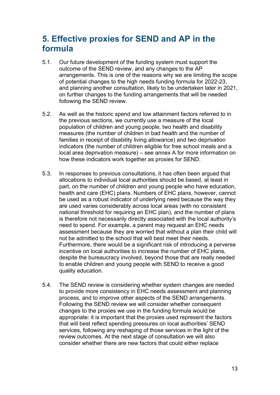# <span id="page-12-0"></span>**5. Effective proxies for SEND and AP in the formula**

- 5.1. Our future development of the funding system must support the outcome of the SEND review, and any changes to the AP arrangements. This is one of the reasons why we are limiting the scope of potential changes to the high needs funding formula for 2022-23, and planning another consultation, likely to be undertaken later in 2021, on further changes to the funding arrangements that will be needed following the SEND review.
- 5.2. As well as the historic spend and low attainment factors referred to in the previous sections, we currently use a measure of the local population of children and young people, two health and disability measures (the number of children in bad health and the number of families in receipt of disability living allowance) and two deprivation indicators (the number of children eligible for free school meals and a local area deprivation measure) – see annex A for more information on how these indicators work together as proxies for SEND.
- 5.3. In responses to previous consultations, it has often been argued that allocations to individual local authorities should be based, at least in part, on the number of children and young people who have education, health and care (EHC) plans. Numbers of EHC plans, however, cannot be used as a robust indicator of underlying need because the way they are used varies considerably across local areas (with no consistent national threshold for requiring an EHC plan), and the number of plans is therefore not necessarily directly associated with the local authority's need to spend. For example, a parent may request an EHC needs assessment because they are worried that without a plan their child will not be admitted to the school that will best meet their needs. Furthermore, there would be a significant risk of introducing a perverse incentive on local authorities to increase the number of EHC plans, despite the bureaucracy involved, beyond those that are really needed to enable children and young people with SEND to receive a good quality education.
- 5.4. The SEND review is considering whether system changes are needed to provide more consistency in EHC needs assessment and planning process, and to improve other aspects of the SEND arrangements. Following the SEND review we will consider whether consequent changes to the proxies we use in the funding formula would be appropriate: it is important that the proxies used represent the factors that will best reflect spending pressures on local authorities' SEND services, following any reshaping of those services in the light of the review outcomes. At the next stage of consultation we will also consider whether there are new factors that could either replace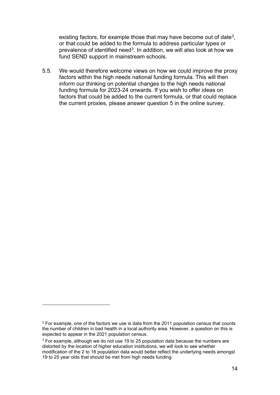existing factors, for example those that may have become out of date<sup>2</sup>, or that could be added to the formula to address particular types or prevalence of identified need<sup>[3](#page-13-1)</sup>. In addition, we will also look at how we fund SEND support in mainstream schools.

5.5. We would therefore welcome views on how we could improve the proxy factors within the high needs national funding formula. This will then inform our thinking on potential changes to the high needs national funding formula for 2023-24 onwards. If you wish to offer ideas on factors that could be added to the current formula, or that could replace the current proxies, please answer question 5 in the online survey.

<span id="page-13-0"></span> $2$  For example, one of the factors we use is data from the 2011 population census that counts the number of children in bad health in a local authority area. However, a question on this is expected to appear in the 2021 population census.

<span id="page-13-1"></span> $3$  For example, although we do not use 19 to 25 population data because the numbers are distorted by the location of higher education institutions, we will look to see whether modification of the 2 to 18 population data would better reflect the underlying needs amongst 19 to 25 year olds that should be met from high needs funding.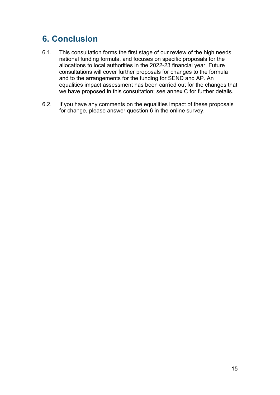# <span id="page-14-0"></span>**6. Conclusion**

- 6.1. This consultation forms the first stage of our review of the high needs national funding formula, and focuses on specific proposals for the allocations to local authorities in the 2022-23 financial year. Future consultations will cover further proposals for changes to the formula and to the arrangements for the funding for SEND and AP. An equalities impact assessment has been carried out for the changes that we have proposed in this consultation; see annex C for further details.
- 6.2. If you have any comments on the equalities impact of these proposals for change, please answer question 6 in the online survey.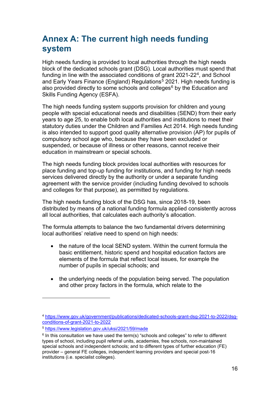# <span id="page-15-0"></span>**Annex A: The current high needs funding system**

High needs funding is provided to local authorities through the high needs block of the dedicated schools grant (DSG). Local authorities must spend that funding in line with the associated conditions of grant 2021-22<sup>[4](#page-15-1)</sup>, and School [and Early Years Finance \(England\) Regulations](http://www.legislation.gov.uk/uksi/2018/10/schedule/2/made)<sup> $5$ </sup> 2021. High needs funding is also provided directly to some schools and colleges $6$  by the Education and Skills Funding Agency (ESFA).

The high needs funding system supports provision for children and young people with special educational needs and disabilities (SEND) from their early years to age 25, to enable both local authorities and institutions to meet their statutory duties under the [Children and Families Act 2014.](http://www.legislation.gov.uk/ukpga/2014/6/contents/enacted) High needs funding is also intended to support good quality alternative provision (AP) for pupils of compulsory school age who, because they have been excluded or suspended, or because of illness or other reasons, cannot receive their education in mainstream or special schools.

The high needs funding block provides local authorities with resources for place funding and top-up funding for institutions, and funding for high needs services delivered directly by the authority or under a separate funding agreement with the service provider (including funding devolved to schools and colleges for that purpose), as permitted by regulations.

The high needs funding block of the DSG has, since 2018-19, been distributed by means of a national funding formula applied consistently across all local authorities, that calculates each authority's allocation.

The formula attempts to balance the two fundamental drivers determining local authorities' relative need to spend on high needs:

- the nature of the local SEND system. Within the current formula the basic entitlement, historic spend and hospital education factors are elements of the formula that reflect local issues, for example the number of pupils in special schools; and
- the underlying needs of the population being served. The population and other proxy factors in the formula, which relate to the

<span id="page-15-1"></span><sup>4</sup> [https://www.gov.uk/government/publications/dedicated-schools-grant-dsg-2021-to-2022/dsg](https://www.gov.uk/government/publications/dedicated-schools-grant-dsg-2021-to-2022/dsg-conditions-of-grant-2021-to-2022)[conditions-of-grant-2021-to-2022](https://www.gov.uk/government/publications/dedicated-schools-grant-dsg-2021-to-2022/dsg-conditions-of-grant-2021-to-2022)

<span id="page-15-2"></span><sup>5</sup> <https://www.legislation.gov.uk/uksi/2021/59/made>

<span id="page-15-3"></span> $6$  In this consultation we have used the term(s) "schools and colleges" to refer to different types of school, including pupil referral units, academies, free schools, non-maintained special schools and independent schools; and to different types of further education (FE) provider – general FE colleges, independent learning providers and special post-16 institutions (i.e. specialist colleges).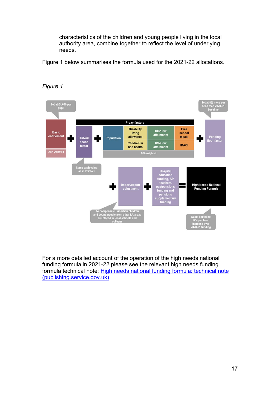characteristics of the children and young people living in the local authority area, combine together to reflect the level of underlying needs.

Figure 1 below summarises the formula used for the 2021-22 allocations.



*Figure 1* 

For a more detailed account of the operation of the high needs national funding formula in 2021-22 please see the relevant high needs funding formula technical note: [High needs national funding formula: technical note](https://assets.publishing.service.gov.uk/government/uploads/system/uploads/attachment_data/file/901888/2021-22_NFF_High_needs_block_technical_note.pdf) [\(publishing.service.gov.uk\)](https://assets.publishing.service.gov.uk/government/uploads/system/uploads/attachment_data/file/901888/2021-22_NFF_High_needs_block_technical_note.pdf)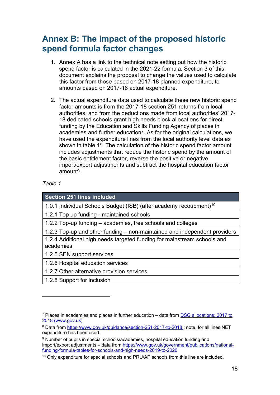## <span id="page-17-0"></span>**Annex B: The impact of the proposed historic spend formula factor changes**

- 1. Annex A has a link to the technical note setting out how the historic spend factor is calculated in the 2021-22 formula. Section 3 of this document explains the proposal to change the values used to calculate this factor from those based on 2017-18 planned expenditure, to amounts based on 2017-18 actual expenditure.
- 2. The actual expenditure data used to calculate these new historic spend factor amounts is from the 2017-18 section 251 returns from local authorities, and from the deductions made from local authorities' 2017- 18 dedicated schools grant high needs block allocations for direct funding by the Education and Skills Funding Agency of places in academies and further education<sup>7</sup>. As for the original calculations, we have used the expenditure lines from the local authority level data as shown in table  $1<sup>8</sup>$ . The calculation of the historic spend factor amount includes adjustments that reduce the historic spend by the amount of the basic entitlement factor, reverse the positive or negative import/export adjustments and subtract the hospital education factor  $a$ mount $9$

#### *Table 1*

1.0.1 Individual Schools Budget (ISB) (after academy recoupment)<sup>[10](#page-17-4)</sup>

1.2.1 Top up funding - maintained schools

1.2.2 Top-up funding – academies, free schools and colleges

1.2.3 Top-up and other funding – non-maintained and independent providers

1.2.4 Additional high needs targeted funding for mainstream schools and academies

1.2.5 SEN support services

1.2.6 Hospital education services

1.2.7 Other alternative provision services

1.2.8 Support for inclusion

<span id="page-17-1"></span><sup>&</sup>lt;sup>7</sup> Places in academies and places in further education – data from **DSG** allocations: 2017 to [2018 \(www.gov.uk\)](https://www.gov.uk/government/publications/dedicated-schools-grant-dsg-2017-to-2018)

<span id="page-17-2"></span><sup>8</sup> Data from<https://www.gov.uk/guidance/section-251-2017-to-2018> : note, for all lines NET expenditure has been used.

<span id="page-17-3"></span><sup>9</sup> Number of pupils in special schools/academies, hospital education funding and import/export adjustments – data from [https://www.gov.uk/government/publications/national](https://www.gov.uk/government/publications/national-funding-formula-tables-for-schools-and-high-needs-2019-to-2020)[funding-formula-tables-for-schools-and-high-needs-2019-to-2020](https://www.gov.uk/government/publications/national-funding-formula-tables-for-schools-and-high-needs-2019-to-2020)

<span id="page-17-4"></span><sup>&</sup>lt;sup>10</sup> Only expenditure for special schools and PRU/AP schools from this line are included.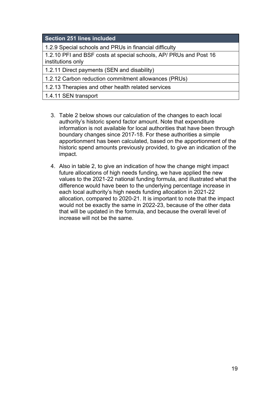#### **Section 251 lines included**

1.2.9 Special schools and PRUs in financial difficulty

1.2.10 PFI and BSF costs at special schools, AP/ PRUs and Post 16 institutions only

1.2.11 Direct payments (SEN and disability)

1.2.12 Carbon reduction commitment allowances (PRUs)

1.2.13 Therapies and other health related services

1.4.11 SEN transport

- 3. Table 2 below shows our calculation of the changes to each local authority's historic spend factor amount. Note that expenditure information is not available for local authorities that have been through boundary changes since 2017-18. For these authorities a simple apportionment has been calculated, based on the apportionment of the historic spend amounts previously provided, to give an indication of the impact.
- 4. Also in table 2, to give an indication of how the change might impact future allocations of high needs funding, we have applied the new values to the 2021-22 national funding formula, and illustrated what the difference would have been to the underlying percentage increase in each local authority's high needs funding allocation in 2021-22 allocation, compared to 2020-21. It is important to note that the impact would not be exactly the same in 2022-23, because of the other data that will be updated in the formula, and because the overall level of increase will not be the same.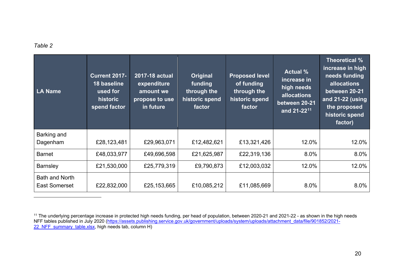#### <span id="page-19-0"></span>*Table 2*

| <b>LA Name</b>                                | <b>Current 2017-</b><br>18 baseline<br>used for<br>historic<br>spend factor | 2017-18 actual<br>expenditure<br>amount we<br>propose to use<br>in future | Original<br>funding<br>through the<br>historic spend<br>factor | <b>Proposed level</b><br>of funding<br>through the<br>historic spend<br>factor | <b>Actual</b> %<br>increase in<br>high needs<br>allocations<br>between 20-21<br>and 21-22 <sup>11</sup> | Theoretical %<br>increase in high<br>needs funding<br><b>allocations</b><br>between 20-21<br>and 21-22 (using<br>the proposed<br>historic spend<br>factor) |
|-----------------------------------------------|-----------------------------------------------------------------------------|---------------------------------------------------------------------------|----------------------------------------------------------------|--------------------------------------------------------------------------------|---------------------------------------------------------------------------------------------------------|------------------------------------------------------------------------------------------------------------------------------------------------------------|
| Barking and                                   |                                                                             |                                                                           |                                                                |                                                                                |                                                                                                         |                                                                                                                                                            |
| Dagenham                                      | £28,123,481                                                                 | £29,963,071                                                               | £12,482,621                                                    | £13,321,426                                                                    | 12.0%                                                                                                   | 12.0%                                                                                                                                                      |
| <b>Barnet</b>                                 | £48,033,977                                                                 | £49,696,598                                                               | £21,625,987                                                    | £22,319,136                                                                    | 8.0%                                                                                                    | 8.0%                                                                                                                                                       |
| <b>Barnsley</b>                               | £21,530,000                                                                 | £25,779,319                                                               | £9,790,873                                                     | £12,003,032                                                                    | 12.0%                                                                                                   | 12.0%                                                                                                                                                      |
| <b>Bath and North</b><br><b>East Somerset</b> | £22,832,000                                                                 | £25,153,665                                                               | £10,085,212                                                    | £11,085,669                                                                    | $8.0\%$                                                                                                 | 8.0%                                                                                                                                                       |

 $^{\sf 11}$  The underlying percentage increase in protected high needs funding, per head of population, between 2020-21 and 2021-22 - as shown in the high needs NFF tables published in July 2020 (<u>https://assets.publishing.service.gov.uk/government/uploads/system/uploads/attachment\_data/file/901852/2021-</u> <u>22\_NFF\_summary\_table.xlsx</u>, high needs tab, column H)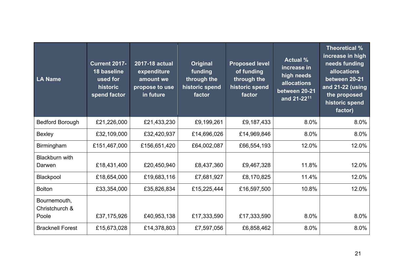| LA Name                                 | <b>Current 2017-</b><br>18 baseline<br>used for<br>historic<br>spend factor | 2017-18 actual<br>expenditure<br>amount we<br>propose to use<br>in future | <b>Original</b><br>funding<br>through the<br>historic spend<br>factor | <b>Proposed level</b><br>of funding<br>through the<br>historic spend<br>factor | <b>Actual %</b><br>increase in<br>high needs<br><b>allocations</b><br>between 20-21<br>and 21-22 <sup>11</sup> | Theoretical %<br>increase in high<br>needs funding<br>allocations<br>between 20-21<br>and 21-22 (using<br>the proposed<br>historic spend<br>factor) |
|-----------------------------------------|-----------------------------------------------------------------------------|---------------------------------------------------------------------------|-----------------------------------------------------------------------|--------------------------------------------------------------------------------|----------------------------------------------------------------------------------------------------------------|-----------------------------------------------------------------------------------------------------------------------------------------------------|
| <b>Bedford Borough</b>                  | £21,226,000                                                                 | £21,433,230                                                               | £9,199,261                                                            | £9,187,433                                                                     | 8.0%                                                                                                           | 8.0%                                                                                                                                                |
| Bexley                                  | £32,109,000                                                                 | £32,420,937                                                               | £14,696,026                                                           | £14,969,846                                                                    | 8.0%                                                                                                           | 8.0%                                                                                                                                                |
| <b>Birmingham</b>                       | £151,467,000                                                                | £156,651,420                                                              | £64,002,087                                                           | £66,554,193                                                                    | 12.0%                                                                                                          | 12.0%                                                                                                                                               |
| <b>Blackburn with</b><br>Darwen         | £18,431,400                                                                 | £20,450,940                                                               | £8,437,360                                                            | £9,467,328                                                                     | 11.8%                                                                                                          | 12.0%                                                                                                                                               |
| Blackpool                               | £18,654,000                                                                 | £19,683,116                                                               | £7,681,927                                                            | £8,170,825                                                                     | 11.4%                                                                                                          | 12.0%                                                                                                                                               |
| <b>Bolton</b>                           | £33,354,000                                                                 | £35,826,834                                                               | £15,225,444                                                           | £16,597,500                                                                    | 10.8%                                                                                                          | 12.0%                                                                                                                                               |
| Bournemouth,<br>Christchurch &<br>Poole | £37,175,926                                                                 | £40,953,138                                                               | £17,333,590                                                           | £17,333,590                                                                    | 8.0%                                                                                                           | 8.0%                                                                                                                                                |
| <b>Bracknell Forest</b>                 | £15,673,028                                                                 | £14,378,803                                                               | £7,597,056                                                            | £6,858,462                                                                     | 8.0%                                                                                                           | 8.0%                                                                                                                                                |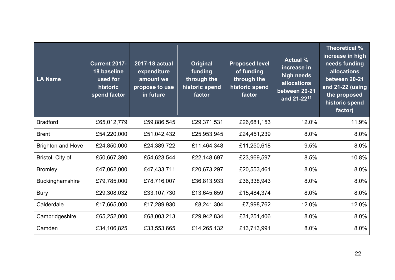| LA Name                  | <b>Current 2017-</b><br>18 baseline<br>used for<br>historic<br>spend factor | 2017-18 actual<br>expenditure<br>amount we<br>propose to use<br>in future | <b>Original</b><br>funding<br>through the<br>historic spend<br>factor | <b>Proposed level</b><br>of funding<br>through the<br>historic spend<br>factor | <b>Actual %</b><br>increase in<br>high needs<br><b>allocations</b><br>between 20-21<br>and 21-22 <sup>11</sup> | Theoretical %<br>increase in high<br>needs funding<br>allocations<br>between 20-21<br>and 21-22 (using<br>the proposed<br>historic spend<br>factor) |
|--------------------------|-----------------------------------------------------------------------------|---------------------------------------------------------------------------|-----------------------------------------------------------------------|--------------------------------------------------------------------------------|----------------------------------------------------------------------------------------------------------------|-----------------------------------------------------------------------------------------------------------------------------------------------------|
| <b>Bradford</b>          | £65,012,779                                                                 | £59,886,545                                                               | £29,371,531                                                           | £26,681,153                                                                    | 12.0%                                                                                                          | 11.9%                                                                                                                                               |
| <b>Brent</b>             | £54,220,000                                                                 | £51,042,432                                                               | £25,953,945                                                           | £24,451,239                                                                    | 8.0%                                                                                                           | 8.0%                                                                                                                                                |
| <b>Brighton and Hove</b> | £24,850,000                                                                 | £24,389,722                                                               | £11,464,348                                                           | £11,250,618                                                                    | 9.5%                                                                                                           | 8.0%                                                                                                                                                |
| Bristol, City of         | £50,667,390                                                                 | £54,623,544                                                               | £22,148,697                                                           | £23,969,597                                                                    | 8.5%                                                                                                           | 10.8%                                                                                                                                               |
| <b>Bromley</b>           | £47,062,000                                                                 | £47,433,711                                                               | £20,673,297                                                           | £20,553,461                                                                    | 8.0%                                                                                                           | 8.0%                                                                                                                                                |
| <b>Buckinghamshire</b>   | £79,785,000                                                                 | £78,716,007                                                               | £36,813,933                                                           | £36,338,943                                                                    | 8.0%                                                                                                           | 8.0%                                                                                                                                                |
| <b>Bury</b>              | £29,308,032                                                                 | £33,107,730                                                               | £13,645,659                                                           | £15,484,374                                                                    | 8.0%                                                                                                           | 8.0%                                                                                                                                                |
| Calderdale               | £17,665,000                                                                 | £17,289,930                                                               | £8,241,304                                                            | £7,998,762                                                                     | 12.0%                                                                                                          | 12.0%                                                                                                                                               |
| Cambridgeshire           | £65,252,000                                                                 | £68,003,213                                                               | £29,942,834                                                           | £31,251,406                                                                    | 8.0%                                                                                                           | 8.0%                                                                                                                                                |
| Camden                   | £34,106,825                                                                 | £33,553,665                                                               | £14,265,132                                                           | £13,713,991                                                                    | 8.0%                                                                                                           | 8.0%                                                                                                                                                |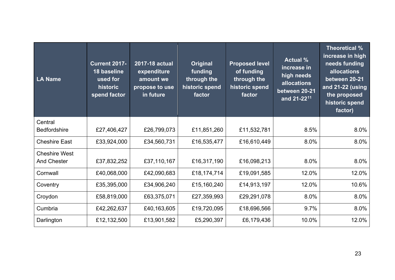| LA Name              | <b>Current 2017-</b><br>18 baseline<br>used for<br>historic<br>spend factor | 2017-18 actual<br>expenditure<br>amount we<br>propose to use<br>in future | <b>Original</b><br>funding<br>through the<br>historic spend<br>factor | <b>Proposed level</b><br>of funding<br>through the<br>historic spend<br>factor | <b>Actual %</b><br>increase in<br>high needs<br>allocations<br>between 20-21<br>and 21-22 <sup>11</sup> | Theoretical %<br>increase in high<br>needs funding<br><b>allocations</b><br>between 20-21<br>and 21-22 (using<br>the proposed<br>historic spend<br>factor) |
|----------------------|-----------------------------------------------------------------------------|---------------------------------------------------------------------------|-----------------------------------------------------------------------|--------------------------------------------------------------------------------|---------------------------------------------------------------------------------------------------------|------------------------------------------------------------------------------------------------------------------------------------------------------------|
| Central              |                                                                             |                                                                           |                                                                       |                                                                                |                                                                                                         |                                                                                                                                                            |
| <b>Bedfordshire</b>  | £27,406,427                                                                 | £26,799,073                                                               | £11,851,260                                                           | £11,532,781                                                                    | 8.5%                                                                                                    | 8.0%                                                                                                                                                       |
| <b>Cheshire East</b> | £33,924,000                                                                 | £34,560,731                                                               | £16,535,477                                                           | £16,610,449                                                                    | 8.0%                                                                                                    | 8.0%                                                                                                                                                       |
| <b>Cheshire West</b> |                                                                             |                                                                           |                                                                       |                                                                                |                                                                                                         |                                                                                                                                                            |
| <b>And Chester</b>   | £37,832,252                                                                 | £37,110,167                                                               | £16,317,190                                                           | £16,098,213                                                                    | 8.0%                                                                                                    | 8.0%                                                                                                                                                       |
| Cornwall             | £40,068,000                                                                 | £42,090,683                                                               | £18,174,714                                                           | £19,091,585                                                                    | 12.0%                                                                                                   | 12.0%                                                                                                                                                      |
| Coventry             | £35,395,000                                                                 | £34,906,240                                                               | £15,160,240                                                           | £14,913,197                                                                    | 12.0%                                                                                                   | 10.6%                                                                                                                                                      |
| Croydon              | £58,819,000                                                                 | £63,375,071                                                               | £27,359,993                                                           | £29,291,078                                                                    | 8.0%                                                                                                    | 8.0%                                                                                                                                                       |
| Cumbria              | £42,262,637                                                                 | £40,163,605                                                               | £19,720,095                                                           | £18,696,566                                                                    | 9.7%                                                                                                    | 8.0%                                                                                                                                                       |
| Darlington           | £12,132,500                                                                 | £13,901,582                                                               | £5,290,397                                                            | £6,179,436                                                                     | 10.0%                                                                                                   | 12.0%                                                                                                                                                      |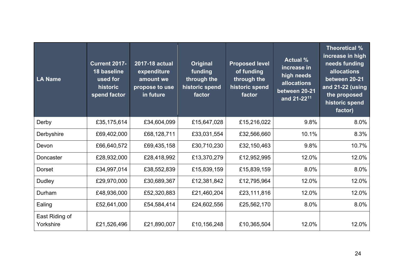| <b>LA Name</b>              | <b>Current 2017-</b><br>18 baseline<br>used for<br>historic<br>spend factor | 2017-18 actual<br>expenditure<br>amount we<br>propose to use<br>in future | <b>Original</b><br>funding<br>through the<br>historic spend<br>factor | <b>Proposed level</b><br>of funding<br>through the<br>historic spend<br>factor | <b>Actual %</b><br>increase in<br>high needs<br>allocations<br>between 20-21<br>and 21-22 <sup>11</sup> | Theoretical %<br>increase in high<br>needs funding<br>allocations<br>between 20-21<br>and 21-22 (using<br>the proposed<br>historic spend<br>factor) |
|-----------------------------|-----------------------------------------------------------------------------|---------------------------------------------------------------------------|-----------------------------------------------------------------------|--------------------------------------------------------------------------------|---------------------------------------------------------------------------------------------------------|-----------------------------------------------------------------------------------------------------------------------------------------------------|
| Derby                       | £35,175,614                                                                 | £34,604,099                                                               | £15,647,028                                                           | £15,216,022                                                                    | 9.8%                                                                                                    | 8.0%                                                                                                                                                |
| Derbyshire                  | £69,402,000                                                                 | £68,128,711                                                               | £33,031,554                                                           | £32,566,660                                                                    | 10.1%                                                                                                   | 8.3%                                                                                                                                                |
| Devon                       | £66,640,572                                                                 | £69,435,158                                                               | £30,710,230                                                           | £32,150,463                                                                    | 9.8%                                                                                                    | 10.7%                                                                                                                                               |
| Doncaster                   | £28,932,000                                                                 | £28,418,992                                                               | £13,370,279                                                           | £12,952,995                                                                    | 12.0%                                                                                                   | 12.0%                                                                                                                                               |
| Dorset                      | £34,997,014                                                                 | £38,552,839                                                               | £15,839,159                                                           | £15,839,159                                                                    | 8.0%                                                                                                    | 8.0%                                                                                                                                                |
| <b>Dudley</b>               | £29,970,000                                                                 | £30,689,367                                                               | £12,381,842                                                           | £12,795,964                                                                    | 12.0%                                                                                                   | 12.0%                                                                                                                                               |
| Durham                      | £48,936,000                                                                 | £52,320,883                                                               | £21,460,204                                                           | £23,111,816                                                                    | 12.0%                                                                                                   | 12.0%                                                                                                                                               |
| Ealing                      | £52,641,000                                                                 | £54,584,414                                                               | £24,602,556                                                           | £25,562,170                                                                    | 8.0%                                                                                                    | 8.0%                                                                                                                                                |
| East Riding of<br>Yorkshire | £21,526,496                                                                 | £21,890,007                                                               | £10,156,248                                                           | £10,365,504                                                                    | 12.0%                                                                                                   | 12.0%                                                                                                                                               |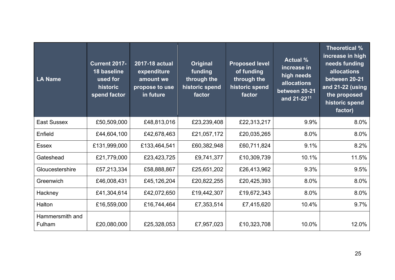| <b>LA Name</b>            | <b>Current 2017-</b><br>18 baseline<br>used for<br>historic<br>spend factor | 2017-18 actual<br>expenditure<br>amount we<br>propose to use<br>in future | <b>Original</b><br>funding<br>through the<br>historic spend<br>factor | <b>Proposed level</b><br>of funding<br>through the<br>historic spend<br>factor | <b>Actual %</b><br>increase in<br>high needs<br><b>allocations</b><br>between 20-21<br>and 21-22 <sup>11</sup> | Theoretical %<br>increase in high<br>needs funding<br>allocations<br>between 20-21<br>and 21-22 (using<br>the proposed<br>historic spend<br>factor) |
|---------------------------|-----------------------------------------------------------------------------|---------------------------------------------------------------------------|-----------------------------------------------------------------------|--------------------------------------------------------------------------------|----------------------------------------------------------------------------------------------------------------|-----------------------------------------------------------------------------------------------------------------------------------------------------|
| <b>East Sussex</b>        | £50,509,000                                                                 | £48,813,016                                                               | £23,239,408                                                           | £22,313,217                                                                    | 9.9%                                                                                                           | 8.0%                                                                                                                                                |
| Enfield                   | £44,604,100                                                                 | £42,678,463                                                               | £21,057,172                                                           | £20,035,265                                                                    | 8.0%                                                                                                           | 8.0%                                                                                                                                                |
| <b>Essex</b>              | £131,999,000                                                                | £133,464,541                                                              | £60,382,948                                                           | £60,711,824                                                                    | 9.1%                                                                                                           | 8.2%                                                                                                                                                |
| Gateshead                 | £21,779,000                                                                 | £23,423,725                                                               | £9,741,377                                                            | £10,309,739                                                                    | 10.1%                                                                                                          | 11.5%                                                                                                                                               |
| Gloucestershire           | £57,213,334                                                                 | £58,888,867                                                               | £25,651,202                                                           | £26,413,962                                                                    | 9.3%                                                                                                           | 9.5%                                                                                                                                                |
| Greenwich                 | £46,008,431                                                                 | £45,126,204                                                               | £20,822,255                                                           | £20,425,393                                                                    | 8.0%                                                                                                           | 8.0%                                                                                                                                                |
| Hackney                   | £41,304,614                                                                 | £42,072,650                                                               | £19,442,307                                                           | £19,672,343                                                                    | 8.0%                                                                                                           | 8.0%                                                                                                                                                |
| Halton                    | £16,559,000                                                                 | £16,744,464                                                               | £7,353,514                                                            | £7,415,620                                                                     | 10.4%                                                                                                          | 9.7%                                                                                                                                                |
| Hammersmith and<br>Fulham | £20,080,000                                                                 | £25,328,053                                                               | £7,957,023                                                            | £10,323,708                                                                    | 10.0%                                                                                                          | 12.0%                                                                                                                                               |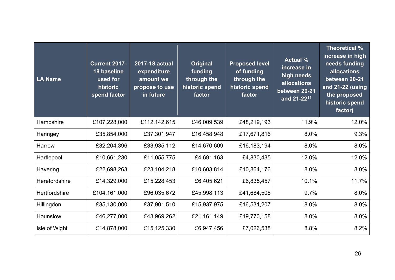| LA Name              | <b>Current 2017-</b><br>18 baseline<br>used for<br>historic<br>spend factor | 2017-18 actual<br>expenditure<br>amount we<br>propose to use<br>in future | <b>Original</b><br>funding<br>through the<br>historic spend<br>factor | <b>Proposed level</b><br>of funding<br>through the<br>historic spend<br>factor | <b>Actual %</b><br>increase in<br>high needs<br><b>allocations</b><br>between 20-21<br>and 21-22 <sup>11</sup> | Theoretical %<br>increase in high<br>needs funding<br>allocations<br>between 20-21<br>and 21-22 (using<br>the proposed<br>historic spend<br>factor) |
|----------------------|-----------------------------------------------------------------------------|---------------------------------------------------------------------------|-----------------------------------------------------------------------|--------------------------------------------------------------------------------|----------------------------------------------------------------------------------------------------------------|-----------------------------------------------------------------------------------------------------------------------------------------------------|
| Hampshire            | £107,228,000                                                                | £112,142,615                                                              | £46,009,539                                                           | £48,219,193                                                                    | 11.9%                                                                                                          | 12.0%                                                                                                                                               |
| Haringey             | £35,854,000                                                                 | £37,301,947                                                               | £16,458,948                                                           | £17,671,816                                                                    | 8.0%                                                                                                           | 9.3%                                                                                                                                                |
| Harrow               | £32,204,396                                                                 | £33,935,112                                                               | £14,670,609                                                           | £16,183,194                                                                    | 8.0%                                                                                                           | 8.0%                                                                                                                                                |
| Hartlepool           | £10,661,230                                                                 | £11,055,775                                                               | £4,691,163                                                            | £4,830,435                                                                     | 12.0%                                                                                                          | 12.0%                                                                                                                                               |
| Havering             | £22,698,263                                                                 | £23,104,218                                                               | £10,603,814                                                           | £10,864,176                                                                    | 8.0%                                                                                                           | 8.0%                                                                                                                                                |
| <b>Herefordshire</b> | £14,329,000                                                                 | £15,228,453                                                               | £6,405,621                                                            | £6,835,457                                                                     | 10.1%                                                                                                          | 11.7%                                                                                                                                               |
| <b>Hertfordshire</b> | £104,161,000                                                                | £96,035,672                                                               | £45,998,113                                                           | £41,684,508                                                                    | 9.7%                                                                                                           | 8.0%                                                                                                                                                |
| Hillingdon           | £35,130,000                                                                 | £37,901,510                                                               | £15,937,975                                                           | £16,531,207                                                                    | 8.0%                                                                                                           | 8.0%                                                                                                                                                |
| Hounslow             | £46,277,000                                                                 | £43,969,262                                                               | £21,161,149                                                           | £19,770,158                                                                    | 8.0%                                                                                                           | 8.0%                                                                                                                                                |
| Isle of Wight        | £14,878,000                                                                 | £15,125,330                                                               | £6,947,456                                                            | £7,026,538                                                                     | 8.8%                                                                                                           | 8.2%                                                                                                                                                |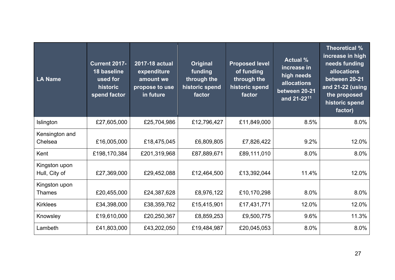| LA Name                        | <b>Current 2017-</b><br>18 baseline<br>used for<br>historic<br>spend factor | 2017-18 actual<br>expenditure<br>amount we<br>propose to use<br>in future | <b>Original</b><br>funding<br>through the<br>historic spend<br>factor | <b>Proposed level</b><br>of funding<br>through the<br>historic spend<br>factor | <b>Actual %</b><br>increase in<br>high needs<br><b>allocations</b><br>between 20-21<br>and 21-22 <sup>11</sup> | Theoretical %<br>increase in high<br>needs funding<br>allocations<br>between 20-21<br>and 21-22 (using<br>the proposed<br>historic spend<br>factor) |
|--------------------------------|-----------------------------------------------------------------------------|---------------------------------------------------------------------------|-----------------------------------------------------------------------|--------------------------------------------------------------------------------|----------------------------------------------------------------------------------------------------------------|-----------------------------------------------------------------------------------------------------------------------------------------------------|
| Islington                      | £27,605,000                                                                 | £25,704,986                                                               | £12,796,427                                                           | £11,849,000                                                                    | 8.5%                                                                                                           | 8.0%                                                                                                                                                |
| Kensington and<br>Chelsea      | £16,005,000                                                                 | £18,475,045                                                               | £6,809,805                                                            | £7,826,422                                                                     | 9.2%                                                                                                           | 12.0%                                                                                                                                               |
| Kent                           | £198,170,384                                                                | £201,319,968                                                              | £87,889,671                                                           | £89,111,010                                                                    | 8.0%                                                                                                           | 8.0%                                                                                                                                                |
| Kingston upon<br>Hull, City of | £27,369,000                                                                 | £29,452,088                                                               | £12,464,500                                                           | £13,392,044                                                                    | 11.4%                                                                                                          | 12.0%                                                                                                                                               |
| Kingston upon<br><b>Thames</b> | £20,455,000                                                                 | £24,387,628                                                               | £8,976,122                                                            | £10,170,298                                                                    | 8.0%                                                                                                           | 8.0%                                                                                                                                                |
| <b>Kirklees</b>                | £34,398,000                                                                 | £38,359,762                                                               | £15,415,901                                                           | £17,431,771                                                                    | 12.0%                                                                                                          | 12.0%                                                                                                                                               |
| Knowsley                       | £19,610,000                                                                 | £20,250,367                                                               | £8,859,253                                                            | £9,500,775                                                                     | 9.6%                                                                                                           | 11.3%                                                                                                                                               |
| Lambeth                        | £41,803,000                                                                 | £43,202,050                                                               | £19,484,987                                                           | £20,045,053                                                                    | 8.0%                                                                                                           | 8.0%                                                                                                                                                |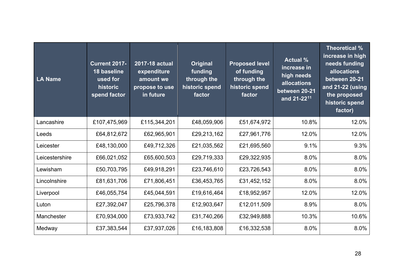| LA Name        | <b>Current 2017-</b><br>18 baseline<br>used for<br>historic<br>spend factor | 2017-18 actual<br>expenditure<br>amount we<br>propose to use<br>in future | <b>Original</b><br>funding<br>through the<br>historic spend<br>factor | <b>Proposed level</b><br>of funding<br>through the<br>historic spend<br>factor | <b>Actual %</b><br>increase in<br>high needs<br><b>allocations</b><br>between 20-21<br>and 21-22 <sup>11</sup> | Theoretical %<br>increase in high<br>needs funding<br>allocations<br>between 20-21<br>and 21-22 (using<br>the proposed<br>historic spend<br>factor) |
|----------------|-----------------------------------------------------------------------------|---------------------------------------------------------------------------|-----------------------------------------------------------------------|--------------------------------------------------------------------------------|----------------------------------------------------------------------------------------------------------------|-----------------------------------------------------------------------------------------------------------------------------------------------------|
| Lancashire     | £107,475,969                                                                | £115,344,201                                                              | £48,059,906                                                           | £51,674,972                                                                    | 10.8%                                                                                                          | 12.0%                                                                                                                                               |
| Leeds          | £64,812,672                                                                 | £62,965,901                                                               | £29,213,162                                                           | £27,961,776                                                                    | 12.0%                                                                                                          | 12.0%                                                                                                                                               |
| Leicester      | £48,130,000                                                                 | £49,712,326                                                               | £21,035,562                                                           | £21,695,560                                                                    | 9.1%                                                                                                           | 9.3%                                                                                                                                                |
| Leicestershire | £66,021,052                                                                 | £65,600,503                                                               | £29,719,333                                                           | £29,322,935                                                                    | 8.0%                                                                                                           | 8.0%                                                                                                                                                |
| Lewisham       | £50,703,795                                                                 | £49,918,291                                                               | £23,746,610                                                           | £23,726,543                                                                    | 8.0%                                                                                                           | 8.0%                                                                                                                                                |
| Lincolnshire   | £81,631,706                                                                 | £71,806,451                                                               | £36,453,765                                                           | £31,452,152                                                                    | 8.0%                                                                                                           | 8.0%                                                                                                                                                |
| Liverpool      | £46,055,754                                                                 | £45,044,591                                                               | £19,616,464                                                           | £18,952,957                                                                    | 12.0%                                                                                                          | 12.0%                                                                                                                                               |
| Luton          | £27,392,047                                                                 | £25,796,378                                                               | £12,903,647                                                           | £12,011,509                                                                    | 8.9%                                                                                                           | 8.0%                                                                                                                                                |
| Manchester     | £70,934,000                                                                 | £73,933,742                                                               | £31,740,266                                                           | £32,949,888                                                                    | 10.3%                                                                                                          | 10.6%                                                                                                                                               |
| Medway         | £37,383,544                                                                 | £37,937,026                                                               | £16,183,808                                                           | £16,332,538                                                                    | 8.0%                                                                                                           | 8.0%                                                                                                                                                |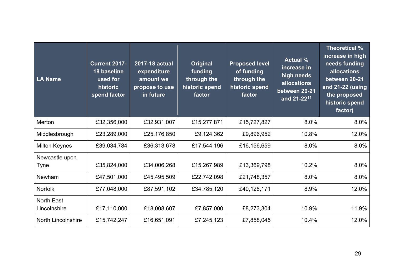| <b>LA Name</b>             | <b>Current 2017-</b><br>18 baseline<br>used for<br>historic<br>spend factor | 2017-18 actual<br>expenditure<br>amount we<br>propose to use<br>in future | Original<br>funding<br>through the<br>historic spend<br>factor | <b>Proposed level</b><br>of funding<br>through the<br>historic spend<br>factor | <b>Actual %</b><br>increase in<br>high needs<br>allocations<br>between 20-21<br>and 21-22 <sup>11</sup> | Theoretical %<br>increase in high<br>needs funding<br>allocations<br>between 20-21<br>and 21-22 (using<br>the proposed<br>historic spend<br>factor) |
|----------------------------|-----------------------------------------------------------------------------|---------------------------------------------------------------------------|----------------------------------------------------------------|--------------------------------------------------------------------------------|---------------------------------------------------------------------------------------------------------|-----------------------------------------------------------------------------------------------------------------------------------------------------|
| Merton                     | £32,356,000                                                                 | £32,931,007                                                               | £15,277,871                                                    | £15,727,827                                                                    | 8.0%                                                                                                    | 8.0%                                                                                                                                                |
| Middlesbrough              | £23,289,000                                                                 | £25,176,850                                                               | £9,124,362                                                     | £9,896,952                                                                     | 10.8%                                                                                                   | 12.0%                                                                                                                                               |
| <b>Milton Keynes</b>       | £39,034,784                                                                 | £36,313,678                                                               | £17,544,196                                                    | £16,156,659                                                                    | 8.0%                                                                                                    | 8.0%                                                                                                                                                |
| Newcastle upon             |                                                                             |                                                                           |                                                                |                                                                                | 10.2%                                                                                                   | 8.0%                                                                                                                                                |
| <b>Tyne</b>                | £35,824,000                                                                 | £34,006,268                                                               | £15,267,989                                                    | £13,369,798                                                                    |                                                                                                         |                                                                                                                                                     |
| Newham                     | £47,501,000                                                                 | £45,495,509                                                               | £22,742,098                                                    | £21,748,357                                                                    | 8.0%                                                                                                    | 8.0%                                                                                                                                                |
| Norfolk                    | £77,048,000                                                                 | £87,591,102                                                               | £34,785,120                                                    | £40,128,171                                                                    | 8.9%                                                                                                    | 12.0%                                                                                                                                               |
| North East<br>Lincolnshire | £17,110,000                                                                 | £18,008,607                                                               | £7,857,000                                                     | £8,273,304                                                                     | 10.9%                                                                                                   | 11.9%                                                                                                                                               |
| <b>North Lincolnshire</b>  | £15,742,247                                                                 | £16,651,091                                                               | £7,245,123                                                     | £7,858,045                                                                     | 10.4%                                                                                                   | 12.0%                                                                                                                                               |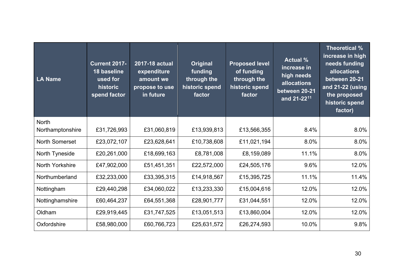| LA Name                          | <b>Current 2017-</b><br>18 baseline<br>used for<br>historic<br>spend factor | 2017-18 actual<br>expenditure<br>amount we<br>propose to use<br>in future | <b>Original</b><br>funding<br>through the<br>historic spend<br>factor | <b>Proposed level</b><br>of funding<br>through the<br>historic spend<br>factor | <b>Actual %</b><br>increase in<br>high needs<br><b>allocations</b><br>between 20-21<br>and 21-22 <sup>11</sup> | Theoretical %<br>increase in high<br>needs funding<br>allocations<br>between 20-21<br>and 21-22 (using<br>the proposed<br>historic spend<br>factor) |
|----------------------------------|-----------------------------------------------------------------------------|---------------------------------------------------------------------------|-----------------------------------------------------------------------|--------------------------------------------------------------------------------|----------------------------------------------------------------------------------------------------------------|-----------------------------------------------------------------------------------------------------------------------------------------------------|
| <b>North</b><br>Northamptonshire | £31,726,993                                                                 | £31,060,819                                                               | £13,939,813                                                           | £13,566,355                                                                    | 8.4%                                                                                                           | 8.0%                                                                                                                                                |
| <b>North Somerset</b>            | £23,072,107                                                                 | £23,628,641                                                               | £10,738,608                                                           | £11,021,194                                                                    | 8.0%                                                                                                           | 8.0%                                                                                                                                                |
| North Tyneside                   | £20,261,000                                                                 | £18,699,163                                                               | £8,781,008                                                            | £8,159,089                                                                     | 11.1%                                                                                                          | 8.0%                                                                                                                                                |
| <b>North Yorkshire</b>           | £47,902,000                                                                 | £51,451,351                                                               | £22,572,000                                                           | £24,505,176                                                                    | 9.6%                                                                                                           | 12.0%                                                                                                                                               |
| Northumberland                   | £32,233,000                                                                 | £33,395,315                                                               | £14,918,567                                                           | £15,395,725                                                                    | 11.1%                                                                                                          | 11.4%                                                                                                                                               |
| Nottingham                       | £29,440,298                                                                 | £34,060,022                                                               | £13,233,330                                                           | £15,004,616                                                                    | 12.0%                                                                                                          | 12.0%                                                                                                                                               |
| Nottinghamshire                  | £60,464,237                                                                 | £64,551,368                                                               | £28,901,777                                                           | £31,044,551                                                                    | 12.0%                                                                                                          | 12.0%                                                                                                                                               |
| Oldham                           | £29,919,445                                                                 | £31,747,525                                                               | £13,051,513                                                           | £13,860,004                                                                    | 12.0%                                                                                                          | 12.0%                                                                                                                                               |
| Oxfordshire                      | £58,980,000                                                                 | £60,766,723                                                               | £25,631,572                                                           | £26,274,593                                                                    | 10.0%                                                                                                          | 9.8%                                                                                                                                                |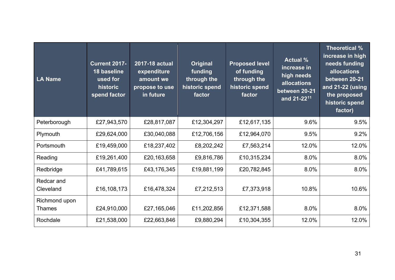| LA Name                        | <b>Current 2017-</b><br>18 baseline<br>used for<br>historic<br>spend factor | 2017-18 actual<br>expenditure<br>amount we<br>propose to use<br>in future | Original<br>funding<br>through the<br>historic spend<br>factor | <b>Proposed level</b><br>of funding<br>through the<br>historic spend<br>factor | <b>Actual %</b><br>increase in<br>high needs<br>allocations<br>between 20-21<br>and 21-22 <sup>11</sup> | Theoretical %<br>increase in high<br>needs funding<br><b>allocations</b><br>between 20-21<br>and 21-22 (using<br>the proposed<br>historic spend<br>factor) |
|--------------------------------|-----------------------------------------------------------------------------|---------------------------------------------------------------------------|----------------------------------------------------------------|--------------------------------------------------------------------------------|---------------------------------------------------------------------------------------------------------|------------------------------------------------------------------------------------------------------------------------------------------------------------|
| Peterborough                   | £27,943,570                                                                 | £28,817,087                                                               | £12,304,297                                                    | £12,617,135                                                                    | 9.6%                                                                                                    | 9.5%                                                                                                                                                       |
| Plymouth                       | £29,624,000                                                                 | £30,040,088                                                               | £12,706,156                                                    | £12,964,070                                                                    | 9.5%                                                                                                    | 9.2%                                                                                                                                                       |
| Portsmouth                     | £19,459,000                                                                 | £18,237,402                                                               | £8,202,242                                                     | £7,563,214                                                                     | 12.0%                                                                                                   | 12.0%                                                                                                                                                      |
| Reading                        | £19,261,400                                                                 | £20,163,658                                                               | £9,816,786                                                     | £10,315,234                                                                    | 8.0%                                                                                                    | 8.0%                                                                                                                                                       |
| Redbridge                      | £41,789,615                                                                 | £43,176,345                                                               | £19,881,199                                                    | £20,782,845                                                                    | 8.0%                                                                                                    | 8.0%                                                                                                                                                       |
| Redcar and<br>Cleveland        | £16,108,173                                                                 | £16,478,324                                                               | £7,212,513                                                     | £7,373,918                                                                     | 10.8%                                                                                                   | 10.6%                                                                                                                                                      |
| Richmond upon<br><b>Thames</b> | £24,910,000                                                                 | £27,165,046                                                               | £11,202,856                                                    | £12,371,588                                                                    | 8.0%                                                                                                    | 8.0%                                                                                                                                                       |
| Rochdale                       | £21,538,000                                                                 | £22,663,846                                                               | £9,880,294                                                     | £10,304,355                                                                    | 12.0%                                                                                                   | 12.0%                                                                                                                                                      |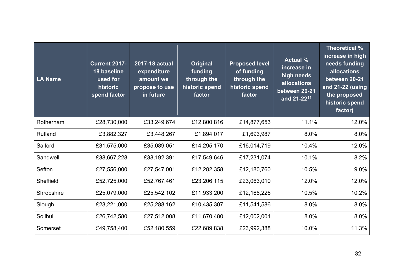| LA Name    | <b>Current 2017-</b><br>18 baseline<br>used for<br>historic<br>spend factor | 2017-18 actual<br>expenditure<br>amount we<br>propose to use<br>in future | <b>Original</b><br>funding<br>through the<br>historic spend<br>factor | <b>Proposed level</b><br>of funding<br>through the<br>historic spend<br>factor | <b>Actual %</b><br>increase in<br>high needs<br><b>allocations</b><br>between 20-21<br>and 21-22 <sup>11</sup> | Theoretical %<br>increase in high<br>needs funding<br>allocations<br>between 20-21<br>and 21-22 (using<br>the proposed<br>historic spend<br>factor) |
|------------|-----------------------------------------------------------------------------|---------------------------------------------------------------------------|-----------------------------------------------------------------------|--------------------------------------------------------------------------------|----------------------------------------------------------------------------------------------------------------|-----------------------------------------------------------------------------------------------------------------------------------------------------|
| Rotherham  | £28,730,000                                                                 | £33,249,674                                                               | £12,800,816                                                           | £14,877,653                                                                    | 11.1%                                                                                                          | 12.0%                                                                                                                                               |
| Rutland    | £3,882,327                                                                  | £3,448,267                                                                | £1,894,017                                                            | £1,693,987                                                                     | 8.0%                                                                                                           | 8.0%                                                                                                                                                |
| Salford    | £31,575,000                                                                 | £35,089,051                                                               | £14,295,170                                                           | £16,014,719                                                                    | 10.4%                                                                                                          | 12.0%                                                                                                                                               |
| Sandwell   | £38,667,228                                                                 | £38,192,391                                                               | £17,549,646                                                           | £17,231,074                                                                    | 10.1%                                                                                                          | 8.2%                                                                                                                                                |
| Sefton     | £27,556,000                                                                 | £27,547,001                                                               | £12,282,358                                                           | £12,180,760                                                                    | 10.5%                                                                                                          | 9.0%                                                                                                                                                |
| Sheffield  | £52,725,000                                                                 | £52,767,461                                                               | £23,206,115                                                           | £23,063,010                                                                    | 12.0%                                                                                                          | 12.0%                                                                                                                                               |
| Shropshire | £25,079,000                                                                 | £25,542,102                                                               | £11,933,200                                                           | £12,168,226                                                                    | 10.5%                                                                                                          | 10.2%                                                                                                                                               |
| Slough     | £23,221,000                                                                 | £25,288,162                                                               | £10,435,307                                                           | £11,541,586                                                                    | 8.0%                                                                                                           | 8.0%                                                                                                                                                |
| Solihull   | £26,742,580                                                                 | £27,512,008                                                               | £11,670,480                                                           | £12,002,001                                                                    | 8.0%                                                                                                           | 8.0%                                                                                                                                                |
| Somerset   | £49,758,400                                                                 | £52,180,559                                                               | £22,689,838                                                           | £23,992,388                                                                    | 10.0%                                                                                                          | 11.3%                                                                                                                                               |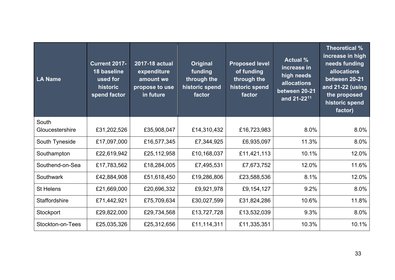| <b>LA Name</b>           | <b>Current 2017-</b><br>18 baseline<br>used for<br>historic<br>spend factor | 2017-18 actual<br>expenditure<br>amount we<br>propose to use<br>in future | Original<br>funding<br>through the<br>historic spend<br>factor | <b>Proposed level</b><br>of funding<br>through the<br>historic spend<br>factor | <b>Actual %</b><br>increase in<br>high needs<br><b>allocations</b><br>between 20-21<br>and 21-22 <sup>11</sup> | Theoretical %<br>increase in high<br>needs funding<br>allocations<br>between 20-21<br>and 21-22 (using<br>the proposed<br>historic spend<br>factor) |
|--------------------------|-----------------------------------------------------------------------------|---------------------------------------------------------------------------|----------------------------------------------------------------|--------------------------------------------------------------------------------|----------------------------------------------------------------------------------------------------------------|-----------------------------------------------------------------------------------------------------------------------------------------------------|
| South<br>Gloucestershire | £31,202,526                                                                 | £35,908,047                                                               | £14,310,432                                                    | £16,723,983                                                                    | 8.0%                                                                                                           | 8.0%                                                                                                                                                |
| South Tyneside           | £17,097,000                                                                 | £16,577,345                                                               | £7,344,925                                                     | £6,935,097                                                                     | 11.3%                                                                                                          | 8.0%                                                                                                                                                |
| Southampton              | £22,619,942                                                                 | £25,112,958                                                               | £10,168,037                                                    | £11,421,113                                                                    | 10.1%                                                                                                          | 12.0%                                                                                                                                               |
| Southend-on-Sea          | £17,783,562                                                                 | £18,284,005                                                               | £7,495,531                                                     | £7,673,752                                                                     | 12.0%                                                                                                          | 11.6%                                                                                                                                               |
| Southwark                | £42,884,908                                                                 | £51,618,450                                                               | £19,286,806                                                    | £23,588,536                                                                    | 8.1%                                                                                                           | 12.0%                                                                                                                                               |
| <b>St Helens</b>         | £21,669,000                                                                 | £20,696,332                                                               | £9,921,978                                                     | £9,154,127                                                                     | 9.2%                                                                                                           | 8.0%                                                                                                                                                |
| <b>Staffordshire</b>     | £71,442,921                                                                 | £75,709,634                                                               | £30,027,599                                                    | £31,824,286                                                                    | 10.6%                                                                                                          | 11.8%                                                                                                                                               |
| Stockport                | £29,822,000                                                                 | £29,734,568                                                               | £13,727,728                                                    | £13,532,039                                                                    | 9.3%                                                                                                           | 8.0%                                                                                                                                                |
| Stockton-on-Tees         | £25,035,326                                                                 | £25,312,656                                                               | £11,114,311                                                    | £11,335,351                                                                    | 10.3%                                                                                                          | 10.1%                                                                                                                                               |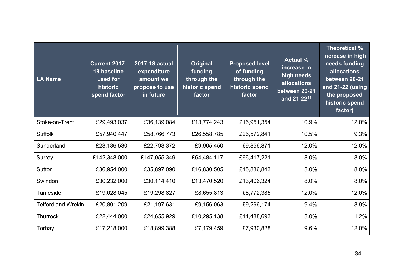| LA Name                   | <b>Current 2017-</b><br>18 baseline<br>used for<br>historic<br>spend factor | 2017-18 actual<br>expenditure<br>amount we<br>propose to use<br>in future | <b>Original</b><br>funding<br>through the<br>historic spend<br>factor | <b>Proposed level</b><br>of funding<br>through the<br>historic spend<br>factor | <b>Actual %</b><br>increase in<br>high needs<br><b>allocations</b><br>between 20-21<br>and 21-22 <sup>11</sup> | Theoretical %<br>increase in high<br>needs funding<br>allocations<br>between 20-21<br>and 21-22 (using<br>the proposed<br>historic spend<br>factor) |
|---------------------------|-----------------------------------------------------------------------------|---------------------------------------------------------------------------|-----------------------------------------------------------------------|--------------------------------------------------------------------------------|----------------------------------------------------------------------------------------------------------------|-----------------------------------------------------------------------------------------------------------------------------------------------------|
| Stoke-on-Trent            | £29,493,037                                                                 | £36,139,084                                                               | £13,774,243                                                           | £16,951,354                                                                    | 10.9%                                                                                                          | 12.0%                                                                                                                                               |
| <b>Suffolk</b>            | £57,940,447                                                                 | £58,766,773                                                               | £26,558,785                                                           | £26,572,841                                                                    | 10.5%                                                                                                          | 9.3%                                                                                                                                                |
| Sunderland                | £23,186,530                                                                 | £22,798,372                                                               | £9,905,450                                                            | £9,856,871                                                                     | 12.0%                                                                                                          | 12.0%                                                                                                                                               |
| Surrey                    | £142,348,000                                                                | £147,055,349                                                              | £64,484,117                                                           | £66,417,221                                                                    | 8.0%                                                                                                           | 8.0%                                                                                                                                                |
| <b>Sutton</b>             | £36,954,000                                                                 | £35,897,090                                                               | £16,830,505                                                           | £15,836,843                                                                    | 8.0%                                                                                                           | 8.0%                                                                                                                                                |
| Swindon                   | £30,232,000                                                                 | £30,114,410                                                               | £13,470,520                                                           | £13,406,324                                                                    | 8.0%                                                                                                           | 8.0%                                                                                                                                                |
| Tameside                  | £19,028,045                                                                 | £19,298,827                                                               | £8,655,813                                                            | £8,772,385                                                                     | 12.0%                                                                                                          | 12.0%                                                                                                                                               |
| <b>Telford and Wrekin</b> | £20,801,209                                                                 | £21,197,631                                                               | £9,156,063                                                            | £9,296,174                                                                     | 9.4%                                                                                                           | 8.9%                                                                                                                                                |
| <b>Thurrock</b>           | £22,444,000                                                                 | £24,655,929                                                               | £10,295,138                                                           | £11,488,693                                                                    | 8.0%                                                                                                           | 11.2%                                                                                                                                               |
| Torbay                    | £17,218,000                                                                 | £18,899,388                                                               | £7,179,459                                                            | £7,930,828                                                                     | 9.6%                                                                                                           | 12.0%                                                                                                                                               |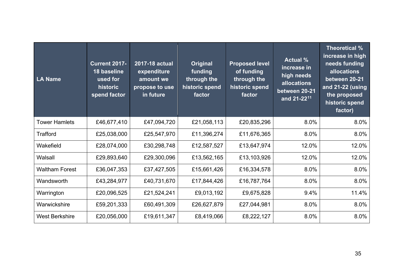| LA Name               | <b>Current 2017-</b><br>18 baseline<br>used for<br>historic<br>spend factor | 2017-18 actual<br>expenditure<br>amount we<br>propose to use<br>in future | Original<br>funding<br>through the<br>historic spend<br>factor | <b>Proposed level</b><br>of funding<br>through the<br>historic spend<br>factor | <b>Actual %</b><br>increase in<br>high needs<br><b>allocations</b><br>between 20-21<br>and 21-22 <sup>11</sup> | Theoretical %<br>increase in high<br>needs funding<br>allocations<br>between 20-21<br>and 21-22 (using<br>the proposed<br>historic spend<br>factor) |
|-----------------------|-----------------------------------------------------------------------------|---------------------------------------------------------------------------|----------------------------------------------------------------|--------------------------------------------------------------------------------|----------------------------------------------------------------------------------------------------------------|-----------------------------------------------------------------------------------------------------------------------------------------------------|
| <b>Tower Hamlets</b>  | £46,677,410                                                                 | £47,094,720                                                               | £21,058,113                                                    | £20,835,296                                                                    | 8.0%                                                                                                           | 8.0%                                                                                                                                                |
| <b>Trafford</b>       | £25,038,000                                                                 | £25,547,970                                                               | £11,396,274                                                    | £11,676,365                                                                    | 8.0%                                                                                                           | 8.0%                                                                                                                                                |
| Wakefield             | £28,074,000                                                                 | £30,298,748                                                               | £12,587,527                                                    | £13,647,974                                                                    | 12.0%                                                                                                          | 12.0%                                                                                                                                               |
| Walsall               | £29,893,640                                                                 | £29,300,096                                                               | £13,562,165                                                    | £13,103,926                                                                    | 12.0%                                                                                                          | 12.0%                                                                                                                                               |
| <b>Waltham Forest</b> | £36,047,353                                                                 | £37,427,505                                                               | £15,661,426                                                    | £16,334,578                                                                    | 8.0%                                                                                                           | 8.0%                                                                                                                                                |
| Wandsworth            | £43,284,977                                                                 | £40,731,670                                                               | £17,844,426                                                    | £16,787,764                                                                    | 8.0%                                                                                                           | 8.0%                                                                                                                                                |
| Warrington            | £20,096,525                                                                 | £21,524,241                                                               | £9,013,192                                                     | £9,675,828                                                                     | 9.4%                                                                                                           | 11.4%                                                                                                                                               |
| Warwickshire          | £59,201,333                                                                 | £60,491,309                                                               | £26,627,879                                                    | £27,044,981                                                                    | 8.0%                                                                                                           | 8.0%                                                                                                                                                |
| <b>West Berkshire</b> | £20,056,000                                                                 | £19,611,347                                                               | £8,419,066                                                     | £8,222,127                                                                     | 8.0%                                                                                                           | 8.0%                                                                                                                                                |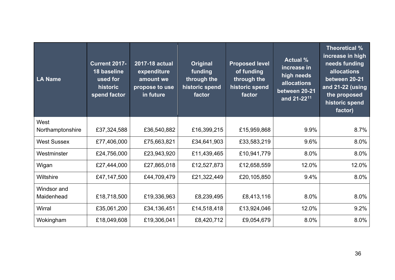| LA Name            | <b>Current 2017-</b><br>18 baseline<br>used for<br>historic<br>spend factor | 2017-18 actual<br>expenditure<br>amount we<br>propose to use<br>in future | Original<br>funding<br>through the<br>historic spend<br>factor | <b>Proposed level</b><br>of funding<br>through the<br>historic spend<br>factor | <b>Actual %</b><br>increase in<br>high needs<br><b>allocations</b><br>between 20-21<br>and 21-22 <sup>11</sup> | Theoretical %<br>increase in high<br>needs funding<br>allocations<br>between 20-21<br>and 21-22 (using<br>the proposed<br>historic spend<br>factor) |
|--------------------|-----------------------------------------------------------------------------|---------------------------------------------------------------------------|----------------------------------------------------------------|--------------------------------------------------------------------------------|----------------------------------------------------------------------------------------------------------------|-----------------------------------------------------------------------------------------------------------------------------------------------------|
| West               |                                                                             |                                                                           |                                                                |                                                                                |                                                                                                                |                                                                                                                                                     |
| Northamptonshire   | £37,324,588                                                                 | £36,540,882                                                               | £16,399,215                                                    | £15,959,868                                                                    | 9.9%                                                                                                           | 8.7%                                                                                                                                                |
| <b>West Sussex</b> | £77,406,000                                                                 | £75,663,821                                                               | £34,641,903                                                    | £33,583,219                                                                    | 9.6%                                                                                                           | 8.0%                                                                                                                                                |
| Westminster        | £24,756,000                                                                 | £23,943,920                                                               | £11,439,465                                                    | £10,941,779                                                                    | 8.0%                                                                                                           | 8.0%                                                                                                                                                |
| Wigan              | £27,444,000                                                                 | £27,865,018                                                               | £12,527,873                                                    | £12,658,559                                                                    | 12.0%                                                                                                          | 12.0%                                                                                                                                               |
| Wiltshire          | £47,147,500                                                                 | £44,709,479                                                               | £21,322,449                                                    | £20,105,850                                                                    | 9.4%                                                                                                           | 8.0%                                                                                                                                                |
| Windsor and        |                                                                             |                                                                           |                                                                |                                                                                |                                                                                                                |                                                                                                                                                     |
| Maidenhead         | £18,718,500                                                                 | £19,336,963                                                               | £8,239,495                                                     | £8,413,116                                                                     | 8.0%                                                                                                           | 8.0%                                                                                                                                                |
| Wirral             | £35,061,200                                                                 | £34,136,451                                                               | £14,518,418                                                    | £13,924,046                                                                    | 12.0%                                                                                                          | 9.2%                                                                                                                                                |
| Wokingham          | £18,049,608                                                                 | £19,306,041                                                               | £8,420,712                                                     | £9,054,679                                                                     | 8.0%                                                                                                           | 8.0%                                                                                                                                                |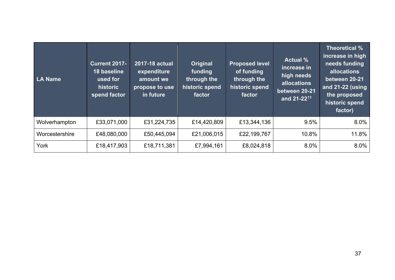| <b>LA Name</b> | <b>Current 2017-</b><br>18 baseline<br>used for<br>historic<br>spend factor | 2017-18 actual<br>expenditure<br>amount we<br>propose to use<br>in future | <b>Original</b><br>funding<br>through the<br>historic spend<br>factor | <b>Proposed level</b><br>of funding<br>through the<br>historic spend<br>factor | <b>Actual %</b><br>increase in<br>high needs<br>allocations<br>between 20-21<br>and 21-22 <sup>11</sup> | Theoretical %<br>increase in high<br>needs funding<br>allocations<br>between 20-21<br>and $21 - 22$ (using<br>the proposed<br>historic spend<br>factor) |
|----------------|-----------------------------------------------------------------------------|---------------------------------------------------------------------------|-----------------------------------------------------------------------|--------------------------------------------------------------------------------|---------------------------------------------------------------------------------------------------------|---------------------------------------------------------------------------------------------------------------------------------------------------------|
| Wolverhampton  | £33,071,000                                                                 | £31,224,735                                                               | £14,420,809                                                           | £13,344,136                                                                    | 9.5%                                                                                                    | 8.0%                                                                                                                                                    |
| Worcestershire | £48,080,000                                                                 | £50,445,094                                                               | £21,006,015                                                           | £22,199,767                                                                    | 10.8%                                                                                                   | 11.8%                                                                                                                                                   |
| York           | £18,417,903                                                                 | £18,711,381                                                               | £7,994,161                                                            | £8,024,818                                                                     | 8.0%                                                                                                    | 8.0%                                                                                                                                                    |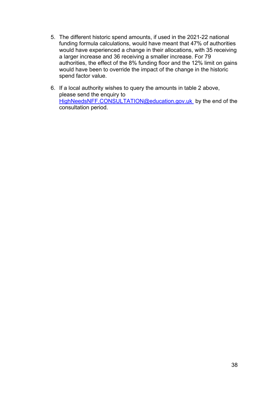- 5. The different historic spend amounts, if used in the 2021-22 national funding formula calculations, would have meant that 47% of authorities would have experienced a change in their allocations, with 35 receiving a larger increase and 36 receiving a smaller increase. For 79 authorities, the effect of the 8% funding floor and the 12% limit on gains would have been to override the impact of the change in the historic spend factor value.
- 6. If a local authority wishes to query the amounts in table 2 above, please send the enquiry to [HighNeedsNFF.CONSULTATION@education.gov.uk](mailto:HighNeedsNFF.CONSULTATION@education.gov.uk) by the end of the consultation period.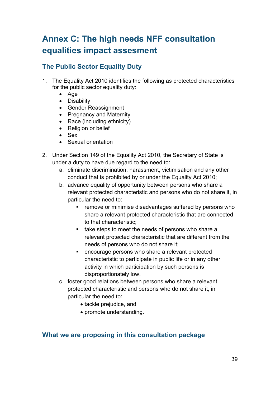# <span id="page-38-0"></span>**Annex C: The high needs NFF consultation equalities impact assesment**

#### **The Public Sector Equality Duty**

- 1. The Equality Act 2010 identifies the following as protected characteristics for the public sector equality duty:
	- Age
	- Disability
	- Gender Reassignment
	- Pregnancy and Maternity
	- Race (including ethnicity)
	- Religion or belief
	- Sex
	- Sexual orientation
- 2. Under Section 149 of the Equality Act 2010, the Secretary of State is under a duty to have due regard to the need to:
	- a. eliminate discrimination, harassment, victimisation and any other conduct that is prohibited by or under the Equality Act 2010;
	- b. advance equality of opportunity between persons who share a relevant protected characteristic and persons who do not share it, in particular the need to:
		- **F** remove or minimise disadvantages suffered by persons who share a relevant protected characteristic that are connected to that characteristic;
		- take steps to meet the needs of persons who share a relevant protected characteristic that are different from the needs of persons who do not share it;
		- encourage persons who share a relevant protected characteristic to participate in public life or in any other activity in which participation by such persons is disproportionately low.
	- c. foster good relations between persons who share a relevant protected characteristic and persons who do not share it, in particular the need to:
		- tackle prejudice, and
		- promote understanding.

#### **What we are proposing in this consultation package**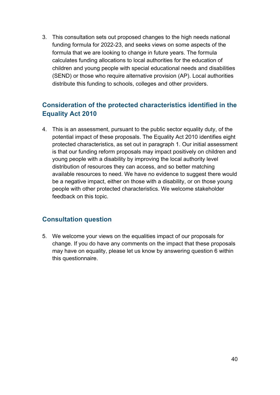3. This consultation sets out proposed changes to the high needs national funding formula for 2022-23, and seeks views on some aspects of the formula that we are looking to change in future years. The formula calculates funding allocations to local authorities for the education of children and young people with special educational needs and disabilities (SEND) or those who require alternative provision (AP). Local authorities distribute this funding to schools, colleges and other providers.

### **Consideration of the protected characteristics identified in the Equality Act 2010**

4. This is an assessment, pursuant to the public sector equality duty, of the potential impact of these proposals. The Equality Act 2010 identifies eight protected characteristics, as set out in paragraph 1. Our initial assessment is that our funding reform proposals may impact positively on children and young people with a disability by improving the local authority level distribution of resources they can access, and so better matching available resources to need. We have no evidence to suggest there would be a negative impact, either on those with a disability, or on those young people with other protected characteristics. We welcome stakeholder feedback on this topic.

#### **Consultation question**

5. We welcome your views on the equalities impact of our proposals for change. If you do have any comments on the impact that these proposals may have on equality, please let us know by answering question 6 within this questionnaire.